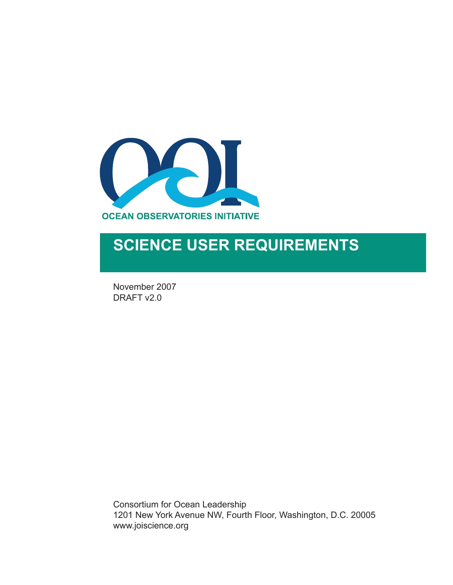

# **SCIENCE USER REQUIREMENTS**

November 2007 DRAFT v2.0

Consortium for Ocean Leadership 1201 New York Avenue NW, Fourth Floor, Washington, D.C. 20005 www.joiscience.org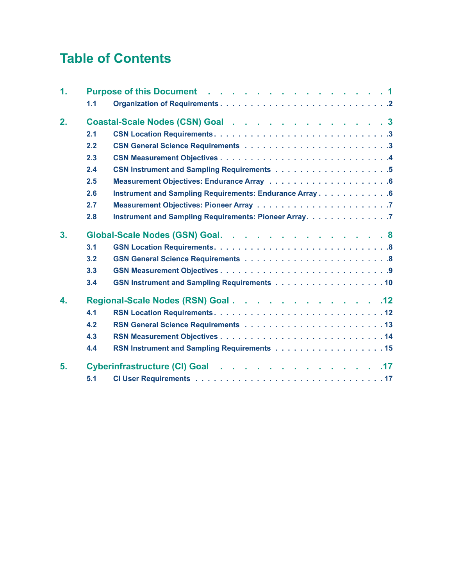## **Table of Contents**

| $\mathbf{1}$ . |     | Purpose of this Document 1                              |
|----------------|-----|---------------------------------------------------------|
|                | 1.1 |                                                         |
| 2.             |     | Coastal-Scale Nodes (CSN) Goal 3                        |
|                | 2.1 |                                                         |
|                | 2.2 |                                                         |
|                | 2.3 |                                                         |
|                | 2.4 |                                                         |
|                | 2.5 |                                                         |
|                | 2.6 | Instrument and Sampling Requirements: Endurance Array 6 |
|                | 2.7 |                                                         |
|                | 2.8 | Instrument and Sampling Requirements: Pioneer Array. 7  |
| 3.             |     | Global-Scale Nodes (GSN) Goal. 8                        |
|                | 3.1 |                                                         |
|                | 3.2 | <b>GSN General Science Requirements  8</b>              |
|                | 3.3 |                                                         |
|                | 3.4 | GSN Instrument and Sampling Requirements 10             |
| 4.             |     | Regional-Scale Nodes (RSN) Goal 12                      |
|                | 4.1 |                                                         |
|                | 4.2 |                                                         |
|                | 4.3 |                                                         |
|                | 4.4 |                                                         |
| 5.             |     | Cyberinfrastructure (CI) Goal 17                        |
|                | 5.1 |                                                         |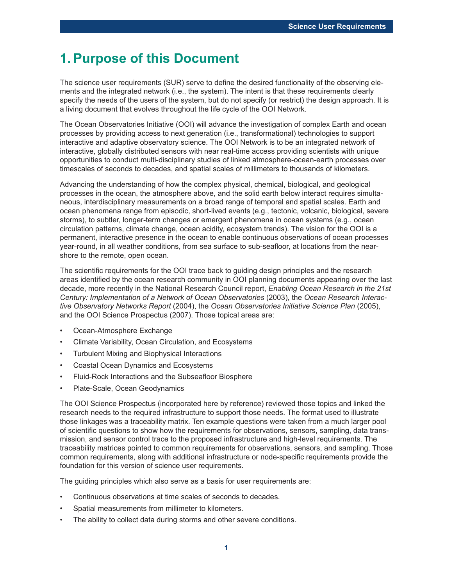### **1.Purpose of this Document**

The science user requirements (SUR) serve to define the desired functionality of the observing elements and the integrated network (i.e., the system). The intent is that these requirements clearly specify the needs of the users of the system, but do not specify (or restrict) the design approach. It is a living document that evolves throughout the life cycle of the OOI Network.

The Ocean Observatories Initiative (OOI) will advance the investigation of complex Earth and ocean processes by providing access to next generation (i.e., transformational) technologies to support interactive and adaptive observatory science. The OOI Network is to be an integrated network of interactive, globally distributed sensors with near real-time access providing scientists with unique opportunities to conduct multi-disciplinary studies of linked atmosphere-ocean-earth processes over timescales of seconds to decades, and spatial scales of millimeters to thousands of kilometers.

Advancing the understanding of how the complex physical, chemical, biological, and geological processes in the ocean, the atmosphere above, and the solid earth below interact requires simultaneous, interdisciplinary measurements on a broad range of temporal and spatial scales. Earth and ocean phenomena range from episodic, short-lived events (e.g., tectonic, volcanic, biological, severe storms), to subtler, longer-term changes or emergent phenomena in ocean systems (e.g., ocean circulation patterns, climate change, ocean acidity, ecosystem trends). The vision for the OOI is a permanent, interactive presence in the ocean to enable continuous observations of ocean processes year-round, in all weather conditions, from sea surface to sub-seafloor, at locations from the nearshore to the remote, open ocean.

The scientific requirements for the OOI trace back to guiding design principles and the research areas identified by the ocean research community in OOI planning documents appearing over the last decade, more recently in the National Research Council report, *Enabling Ocean Research in the 21st Century: Implementation of a Network of Ocean Observatories* (2003), the *Ocean Research Interactive Observatory Networks Report* (2004), the *Ocean Observatories Initiative Science Plan* (2005), and the OOI Science Prospectus (2007). Those topical areas are:

- Ocean-Atmosphere Exchange
- Climate Variability, Ocean Circulation, and Ecosystems
- Turbulent Mixing and Biophysical Interactions
- Coastal Ocean Dynamics and Ecosystems
- Fluid-Rock Interactions and the Subseafloor Biosphere
- Plate-Scale, Ocean Geodynamics

The OOI Science Prospectus (incorporated here by reference) reviewed those topics and linked the research needs to the required infrastructure to support those needs. The format used to illustrate those linkages was a traceability matrix. Ten example questions were taken from a much larger pool of scientific questions to show how the requirements for observations, sensors, sampling, data transmission, and sensor control trace to the proposed infrastructure and high-level requirements. The traceability matrices pointed to common requirements for observations, sensors, and sampling. Those common requirements, along with additional infrastructure or node-specific requirements provide the foundation for this version of science user requirements.

The guiding principles which also serve as a basis for user requirements are:

- Continuous observations at time scales of seconds to decades.
- Spatial measurements from millimeter to kilometers.
- The ability to collect data during storms and other severe conditions.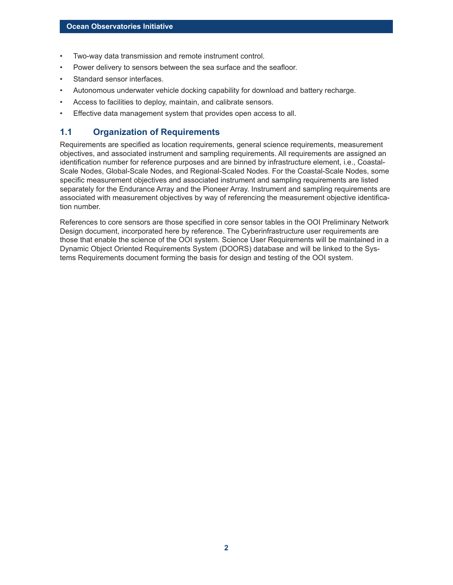- Two-way data transmission and remote instrument control.
- Power delivery to sensors between the sea surface and the seafloor.
- Standard sensor interfaces.
- Autonomous underwater vehicle docking capability for download and battery recharge.
- Access to facilities to deploy, maintain, and calibrate sensors.
- Effective data management system that provides open access to all.

#### **1.1 Organization of Requirements**

Requirements are specified as location requirements, general science requirements, measurement objectives, and associated instrument and sampling requirements. All requirements are assigned an identification number for reference purposes and are binned by infrastructure element, i.e., Coastal-Scale Nodes, Global-Scale Nodes, and Regional-Scaled Nodes. For the Coastal-Scale Nodes, some specific measurement objectives and associated instrument and sampling requirements are listed separately for the Endurance Array and the Pioneer Array. Instrument and sampling requirements are associated with measurement objectives by way of referencing the measurement objective identification number.

References to core sensors are those specified in core sensor tables in the OOI Preliminary Network Design document, incorporated here by reference. The Cyberinfrastructure user requirements are those that enable the science of the OOI system. Science User Requirements will be maintained in a Dynamic Object Oriented Requirements System (DOORS) database and will be linked to the Systems Requirements document forming the basis for design and testing of the OOI system.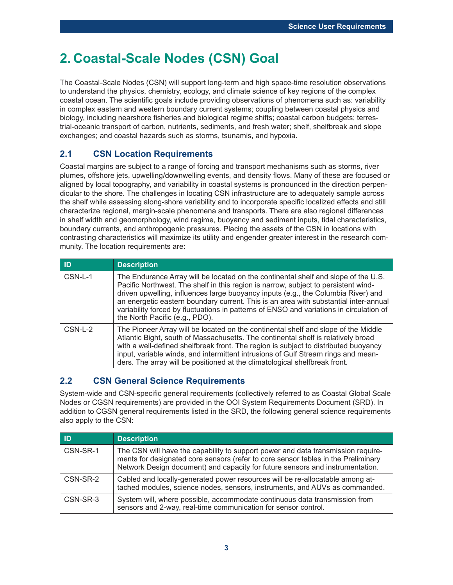## **2. Coastal-Scale Nodes (CSN) Goal**

The Coastal-Scale Nodes (CSN) will support long-term and high space-time resolution observations to understand the physics, chemistry, ecology, and climate science of key regions of the complex coastal ocean. The scientific goals include providing observations of phenomena such as: variability in complex eastern and western boundary current systems; coupling between coastal physics and biology, including nearshore fisheries and biological regime shifts; coastal carbon budgets; terrestrial-oceanic transport of carbon, nutrients, sediments, and fresh water; shelf, shelfbreak and slope exchanges; and coastal hazards such as storms, tsunamis, and hypoxia.

### **2.1 CSN Location Requirements**

Coastal margins are subject to a range of forcing and transport mechanisms such as storms, river plumes, offshore jets, upwelling/downwelling events, and density flows. Many of these are focused or aligned by local topography, and variability in coastal systems is pronounced in the direction perpendicular to the shore. The challenges in locating CSN infrastructure are to adequately sample across the shelf while assessing along-shore variability and to incorporate specific localized effects and still characterize regional, margin-scale phenomena and transports. There are also regional differences in shelf width and geomorphology, wind regime, buoyancy and sediment inputs, tidal characteristics, boundary currents, and anthropogenic pressures. Placing the assets of the CSN in locations with contrasting characteristics will maximize its utility and engender greater interest in the research community. The location requirements are:

| ID      | <b>Description</b>                                                                                                                                                                                                                                                                                                                                                                                                                                                                 |
|---------|------------------------------------------------------------------------------------------------------------------------------------------------------------------------------------------------------------------------------------------------------------------------------------------------------------------------------------------------------------------------------------------------------------------------------------------------------------------------------------|
| CSN-L-1 | The Endurance Array will be located on the continental shelf and slope of the U.S.<br>Pacific Northwest. The shelf in this region is narrow, subject to persistent wind-<br>driven upwelling, influences large buoyancy inputs (e.g., the Columbia River) and<br>an energetic eastern boundary current. This is an area with substantial inter-annual<br>variability forced by fluctuations in patterns of ENSO and variations in circulation of<br>the North Pacific (e.g., PDO). |
| CSN-L-2 | The Pioneer Array will be located on the continental shelf and slope of the Middle<br>Atlantic Bight, south of Massachusetts. The continental shelf is relatively broad<br>with a well-defined shelfbreak front. The region is subject to distributed buoyancy<br>input, variable winds, and intermittent intrusions of Gulf Stream rings and mean-<br>ders. The array will be positioned at the climatological shelfbreak front.                                                  |

### **2.2 CSN General Science Requirements**

System-wide and CSN-specific general requirements (collectively referred to as Coastal Global Scale Nodes or CGSN requirements) are provided in the OOI System Requirements Document (SRD). In addition to CGSN general requirements listed in the SRD, the following general science requirements also apply to the CSN:

| ID       | <b>Description</b>                                                                                                                                                                                                                                     |
|----------|--------------------------------------------------------------------------------------------------------------------------------------------------------------------------------------------------------------------------------------------------------|
| CSN-SR-1 | The CSN will have the capability to support power and data transmission require-<br>ments for designated core sensors (refer to core sensor tables in the Preliminary<br>Network Design document) and capacity for future sensors and instrumentation. |
| CSN-SR-2 | Cabled and locally-generated power resources will be re-allocatable among at-<br>tached modules, science nodes, sensors, instruments, and AUVs as commanded.                                                                                           |
| CSN-SR-3 | System will, where possible, accommodate continuous data transmission from<br>sensors and 2-way, real-time communication for sensor control.                                                                                                           |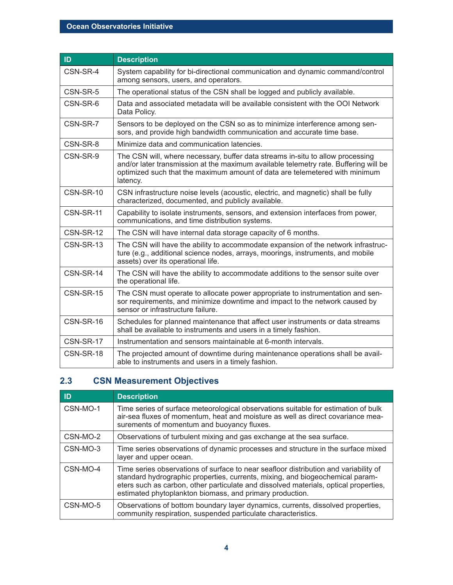| ID        | <b>Description</b>                                                                                                                                                                                                                                                |
|-----------|-------------------------------------------------------------------------------------------------------------------------------------------------------------------------------------------------------------------------------------------------------------------|
| CSN-SR-4  | System capability for bi-directional communication and dynamic command/control<br>among sensors, users, and operators.                                                                                                                                            |
| CSN-SR-5  | The operational status of the CSN shall be logged and publicly available.                                                                                                                                                                                         |
| CSN-SR-6  | Data and associated metadata will be available consistent with the OOI Network<br>Data Policy.                                                                                                                                                                    |
| CSN-SR-7  | Sensors to be deployed on the CSN so as to minimize interference among sen-<br>sors, and provide high bandwidth communication and accurate time base.                                                                                                             |
| CSN-SR-8  | Minimize data and communication latencies.                                                                                                                                                                                                                        |
| CSN-SR-9  | The CSN will, where necessary, buffer data streams in-situ to allow processing<br>and/or later transmission at the maximum available telemetry rate. Buffering will be<br>optimized such that the maximum amount of data are telemetered with minimum<br>latency. |
| CSN-SR-10 | CSN infrastructure noise levels (acoustic, electric, and magnetic) shall be fully<br>characterized, documented, and publicly available.                                                                                                                           |
| CSN-SR-11 | Capability to isolate instruments, sensors, and extension interfaces from power,<br>communications, and time distribution systems.                                                                                                                                |
| CSN-SR-12 | The CSN will have internal data storage capacity of 6 months.                                                                                                                                                                                                     |
| CSN-SR-13 | The CSN will have the ability to accommodate expansion of the network infrastruc-<br>ture (e.g., additional science nodes, arrays, moorings, instruments, and mobile<br>assets) over its operational life.                                                        |
| CSN-SR-14 | The CSN will have the ability to accommodate additions to the sensor suite over<br>the operational life.                                                                                                                                                          |
| CSN-SR-15 | The CSN must operate to allocate power appropriate to instrumentation and sen-<br>sor requirements, and minimize downtime and impact to the network caused by<br>sensor or infrastructure failure.                                                                |
| CSN-SR-16 | Schedules for planned maintenance that affect user instruments or data streams<br>shall be available to instruments and users in a timely fashion.                                                                                                                |
| CSN-SR-17 | Instrumentation and sensors maintainable at 6-month intervals.                                                                                                                                                                                                    |
| CSN-SR-18 | The projected amount of downtime during maintenance operations shall be avail-<br>able to instruments and users in a timely fashion.                                                                                                                              |

### **2.3 CSN Measurement Objectives**

| ID       | <b>Description</b>                                                                                                                                                                                                                                                                                                        |
|----------|---------------------------------------------------------------------------------------------------------------------------------------------------------------------------------------------------------------------------------------------------------------------------------------------------------------------------|
| CSN-MO-1 | Time series of surface meteorological observations suitable for estimation of bulk<br>air-sea fluxes of momentum, heat and moisture as well as direct covariance mea-<br>surements of momentum and buoyancy fluxes.                                                                                                       |
| CSN-MO-2 | Observations of turbulent mixing and gas exchange at the sea surface.                                                                                                                                                                                                                                                     |
| CSN-MO-3 | Time series observations of dynamic processes and structure in the surface mixed<br>layer and upper ocean.                                                                                                                                                                                                                |
| CSN-MO-4 | Time series observations of surface to near seafloor distribution and variability of<br>standard hydrographic properties, currents, mixing, and biogeochemical param-<br>eters such as carbon, other particulate and dissolved materials, optical properties,<br>estimated phytoplankton biomass, and primary production. |
| CSN-MO-5 | Observations of bottom boundary layer dynamics, currents, dissolved properties,<br>community respiration, suspended particulate characteristics.                                                                                                                                                                          |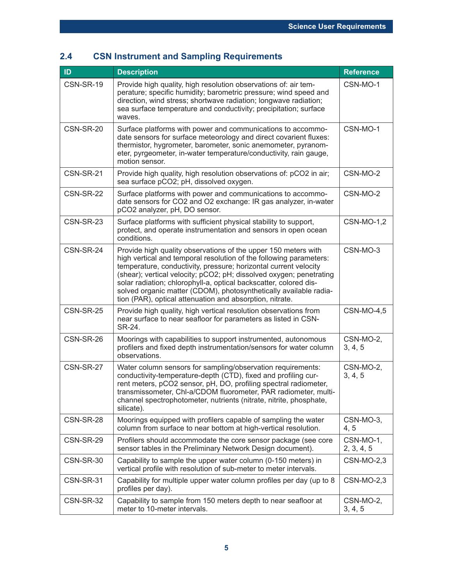| ID        | <b>Description</b>                                                                                                                                                                                                                                                                                                                                                                                                                                                                    | <b>Reference</b>        |
|-----------|---------------------------------------------------------------------------------------------------------------------------------------------------------------------------------------------------------------------------------------------------------------------------------------------------------------------------------------------------------------------------------------------------------------------------------------------------------------------------------------|-------------------------|
| CSN-SR-19 | Provide high quality, high resolution observations of: air tem-<br>perature; specific humidity; barometric pressure; wind speed and<br>direction, wind stress; shortwave radiation; longwave radiation;<br>sea surface temperature and conductivity; precipitation; surface<br>waves.                                                                                                                                                                                                 | CSN-MO-1                |
| CSN-SR-20 | Surface platforms with power and communications to accommo-<br>date sensors for surface meteorology and direct covarient fluxes:<br>thermistor, hygrometer, barometer, sonic anemometer, pyranom-<br>eter, pyrgeometer, in-water temperature/conductivity, rain gauge,<br>motion sensor.                                                                                                                                                                                              | CSN-MO-1                |
| CSN-SR-21 | Provide high quality, high resolution observations of: pCO2 in air;<br>sea surface pCO2; pH, dissolved oxygen.                                                                                                                                                                                                                                                                                                                                                                        | CSN-MO-2                |
| CSN-SR-22 | Surface platforms with power and communications to accommo-<br>date sensors for CO2 and O2 exchange: IR gas analyzer, in-water<br>pCO2 analyzer, pH, DO sensor.                                                                                                                                                                                                                                                                                                                       | CSN-MO-2                |
| CSN-SR-23 | Surface platforms with sufficient physical stability to support,<br>protect, and operate instrumentation and sensors in open ocean<br>conditions.                                                                                                                                                                                                                                                                                                                                     | <b>CSN-MO-1,2</b>       |
| CSN-SR-24 | Provide high quality observations of the upper 150 meters with<br>high vertical and temporal resolution of the following parameters:<br>temperature, conductivity, pressure; horizontal current velocity<br>(shear); vertical velocity; pCO2; pH; dissolved oxygen; penetrating<br>solar radiation; chlorophyll-a, optical backscatter, colored dis-<br>solved organic matter (CDOM), photosynthetically available radia-<br>tion (PAR), optical attenuation and absorption, nitrate. | CSN-MO-3                |
| CSN-SR-25 | Provide high quality, high vertical resolution observations from<br>near surface to near seafloor for parameters as listed in CSN-<br>SR-24.                                                                                                                                                                                                                                                                                                                                          | <b>CSN-MO-4,5</b>       |
| CSN-SR-26 | Moorings with capabilities to support instrumented, autonomous<br>profilers and fixed depth instrumentation/sensors for water column<br>observations.                                                                                                                                                                                                                                                                                                                                 | CSN-MO-2,<br>3, 4, 5    |
| CSN-SR-27 | Water column sensors for sampling/observation requirements:<br>conductivity-temperature-depth (CTD), fixed and profiling cur-<br>rent meters, pCO2 sensor, pH, DO, profiling spectral radiometer,<br>transmissometer, Chl-a/CDOM fluorometer, PAR radiometer, multi-<br>channel spectrophotometer, nutrients (nitrate, nitrite, phosphate,<br>silicate).                                                                                                                              | CSN-MO-2,<br>3, 4, 5    |
| CSN-SR-28 | Moorings equipped with profilers capable of sampling the water<br>column from surface to near bottom at high-vertical resolution.                                                                                                                                                                                                                                                                                                                                                     | CSN-MO-3,<br>4, 5       |
| CSN-SR-29 | Profilers should accommodate the core sensor package (see core<br>sensor tables in the Preliminary Network Design document).                                                                                                                                                                                                                                                                                                                                                          | CSN-MO-1,<br>2, 3, 4, 5 |
| CSN-SR-30 | Capability to sample the upper water column (0-150 meters) in<br>vertical profile with resolution of sub-meter to meter intervals.                                                                                                                                                                                                                                                                                                                                                    | <b>CSN-MO-2,3</b>       |
| CSN-SR-31 | Capability for multiple upper water column profiles per day (up to 8<br>profiles per day).                                                                                                                                                                                                                                                                                                                                                                                            | <b>CSN-MO-2,3</b>       |
| CSN-SR-32 | Capability to sample from 150 meters depth to near seafloor at<br>meter to 10-meter intervals.                                                                                                                                                                                                                                                                                                                                                                                        | CSN-MO-2,<br>3, 4, 5    |

### **2.4 CSN Instrument and Sampling Requirements**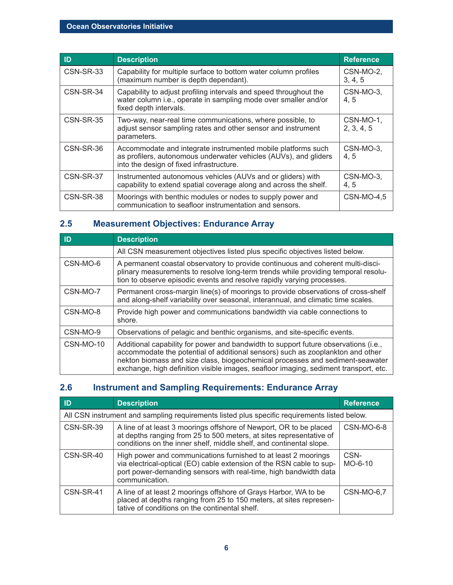| ID        | <b>Description</b>                                                                                                                                                           | <b>Reference</b>        |
|-----------|------------------------------------------------------------------------------------------------------------------------------------------------------------------------------|-------------------------|
| CSN-SR-33 | Capability for multiple surface to bottom water column profiles<br>(maximum number is depth dependant).                                                                      | CSN-MO-2,<br>3, 4, 5    |
| CSN-SR-34 | Capability to adjust profiling intervals and speed throughout the<br>water column i.e., operate in sampling mode over smaller and/or<br>fixed depth intervals.               | CSN-MO-3,<br>4.5        |
| CSN-SR-35 | Two-way, near-real time communications, where possible, to<br>adjust sensor sampling rates and other sensor and instrument<br>parameters.                                    | CSN-MO-1,<br>2, 3, 4, 5 |
| CSN-SR-36 | Accommodate and integrate instrumented mobile platforms such<br>as profilers, autonomous underwater vehicles (AUVs), and gliders<br>into the design of fixed infrastructure. | CSN-MO-3,<br>4.5        |
| CSN-SR-37 | Instrumented autonomous vehicles (AUVs and or gliders) with<br>capability to extend spatial coverage along and across the shelf.                                             | CSN-MO-3.<br>4, 5       |
| CSN-SR-38 | Moorings with benthic modules or nodes to supply power and<br>communication to seafloor instrumentation and sensors.                                                         | <b>CSN-MO-4,5</b>       |

### **2.5 Measurement Objectives: Endurance Array**

| ID        | <b>Description</b>                                                                                                                                                                                                                                                                                                                             |
|-----------|------------------------------------------------------------------------------------------------------------------------------------------------------------------------------------------------------------------------------------------------------------------------------------------------------------------------------------------------|
|           | All CSN measurement objectives listed plus specific objectives listed below.                                                                                                                                                                                                                                                                   |
| CSN-MO-6  | A permanent coastal observatory to provide continuous and coherent multi-disci-<br>plinary measurements to resolve long-term trends while providing temporal resolu-<br>tion to observe episodic events and resolve rapidly varying processes.                                                                                                 |
| CSN-MO-7  | Permanent cross-margin line(s) of moorings to provide observations of cross-shelf<br>and along-shelf variability over seasonal, interannual, and climatic time scales.                                                                                                                                                                         |
| CSN-MO-8  | Provide high power and communications bandwidth via cable connections to<br>shore.                                                                                                                                                                                                                                                             |
| CSN-MO-9  | Observations of pelagic and benthic organisms, and site-specific events.                                                                                                                                                                                                                                                                       |
| CSN-MO-10 | Additional capability for power and bandwidth to support future observations (i.e.,<br>accommodate the potential of additional sensors) such as zooplankton and other<br>nekton biomass and size class, biogeochemical processes and sediment-seawater<br>exchange, high definition visible images, seafloor imaging, sediment transport, etc. |

### **2.6 Instrument and Sampling Requirements: Endurance Array**

| ID                                                                                           | <b>Description</b>                                                                                                                                                                                                           | <b>Reference</b> |
|----------------------------------------------------------------------------------------------|------------------------------------------------------------------------------------------------------------------------------------------------------------------------------------------------------------------------------|------------------|
| All CSN instrument and sampling requirements listed plus specific requirements listed below. |                                                                                                                                                                                                                              |                  |
| CSN-SR-39                                                                                    | A line of at least 3 moorings offshore of Newport, OR to be placed<br>at depths ranging from 25 to 500 meters, at sites representative of<br>conditions on the inner shelf, middle shelf, and continental slope.             | CSN-MO-6-8       |
| CSN-SR-40                                                                                    | High power and communications furnished to at least 2 moorings<br>via electrical-optical (EO) cable extension of the RSN cable to sup-<br>port power-demanding sensors with real-time, high bandwidth data<br>communication. | CSN-<br>MO-6-10  |
| CSN-SR-41                                                                                    | A line of at least 2 moorings offshore of Grays Harbor, WA to be<br>placed at depths ranging from 25 to 150 meters, at sites represen-<br>tative of conditions on the continental shelf.                                     | CSN-MO-6.7       |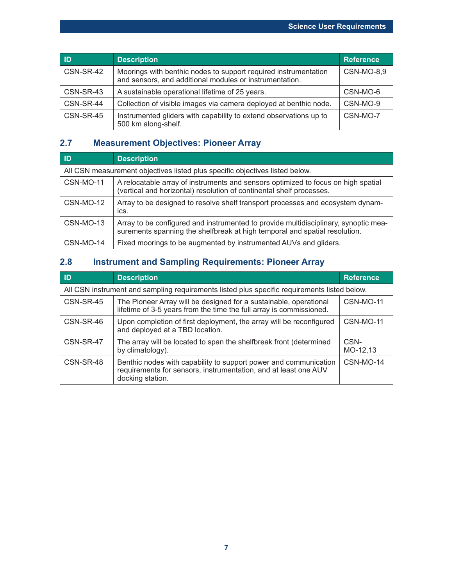| <b>ID</b> | <b>Description</b>                                                                                                         | <b>Reference</b>  |
|-----------|----------------------------------------------------------------------------------------------------------------------------|-------------------|
| CSN-SR-42 | Moorings with benthic nodes to support required instrumentation<br>and sensors, and additional modules or instrumentation. | <b>CSN-MO-8,9</b> |
| CSN-SR-43 | A sustainable operational lifetime of 25 years.                                                                            | CSN-MO-6          |
| CSN-SR-44 | Collection of visible images via camera deployed at benthic node.                                                          | CSN-MO-9          |
| CSN-SR-45 | Instrumented gliders with capability to extend observations up to<br>500 km along-shelf.                                   | CSN-MO-7          |

### **2.7 Measurement Objectives: Pioneer Array**

| ID                                                                           | <b>Description</b>                                                                                                                                                |  |
|------------------------------------------------------------------------------|-------------------------------------------------------------------------------------------------------------------------------------------------------------------|--|
| All CSN measurement objectives listed plus specific objectives listed below. |                                                                                                                                                                   |  |
| CSN-MO-11                                                                    | A relocatable array of instruments and sensors optimized to focus on high spatial<br>(vertical and horizontal) resolution of continental shelf processes.         |  |
| CSN-MO-12                                                                    | Array to be designed to resolve shelf transport processes and ecosystem dynam-<br>ics.                                                                            |  |
| CSN-MO-13                                                                    | Array to be configured and instrumented to provide multidisciplinary, synoptic mea-<br>surements spanning the shelfbreak at high temporal and spatial resolution. |  |
| CSN-MO-14                                                                    | Fixed moorings to be augmented by instrumented AUVs and gliders.                                                                                                  |  |

### **2.8 Instrument and Sampling Requirements: Pioneer Array**

| ID                                                                                           | <b>Description</b>                                                                                                                                      | <b>Reference</b> |
|----------------------------------------------------------------------------------------------|---------------------------------------------------------------------------------------------------------------------------------------------------------|------------------|
| All CSN instrument and sampling requirements listed plus specific requirements listed below. |                                                                                                                                                         |                  |
| CSN-SR-45                                                                                    | The Pioneer Array will be designed for a sustainable, operational<br>lifetime of 3-5 years from the time the full array is commissioned.                | CSN-MO-11        |
| CSN-SR-46                                                                                    | Upon completion of first deployment, the array will be reconfigured<br>and deployed at a TBD location.                                                  | CSN-MO-11        |
| CSN-SR-47                                                                                    | The array will be located to span the shelfbreak front (determined<br>by climatology).                                                                  | CSN-<br>MO-12,13 |
| CSN-SR-48                                                                                    | Benthic nodes with capability to support power and communication<br>requirements for sensors, instrumentation, and at least one AUV<br>docking station. | CSN-MO-14        |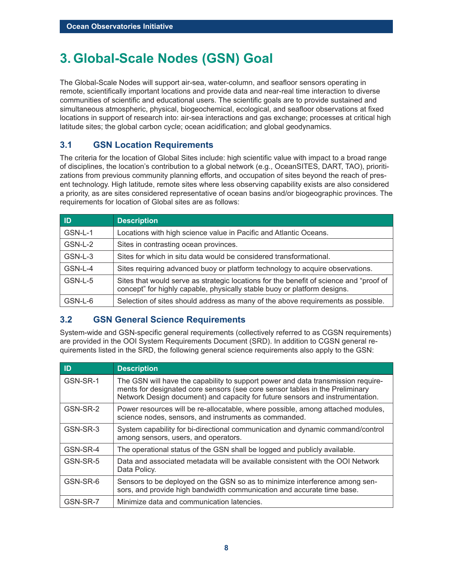## **3. Global-Scale Nodes (GSN) Goal**

The Global-Scale Nodes will support air-sea, water-column, and seafloor sensors operating in remote, scientifically important locations and provide data and near-real time interaction to diverse communities of scientific and educational users. The scientific goals are to provide sustained and simultaneous atmospheric, physical, biogeochemical, ecological, and seafloor observations at fixed locations in support of research into: air-sea interactions and gas exchange; processes at critical high latitude sites; the global carbon cycle; ocean acidification; and global geodynamics.

#### **3.1 GSN Location Requirements**

The criteria for the location of Global Sites include: high scientific value with impact to a broad range of disciplines, the location's contribution to a global network (e.g., OceanSITES, DART, TAO), prioritizations from previous community planning efforts, and occupation of sites beyond the reach of present technology. High latitude, remote sites where less observing capability exists are also considered a priority, as are sites considered representative of ocean basins and/or biogeographic provinces. The requirements for location of Global sites are as follows:

| <b>ID</b> | <b>Description</b>                                                                                                                                                 |
|-----------|--------------------------------------------------------------------------------------------------------------------------------------------------------------------|
| GSN-L-1   | Locations with high science value in Pacific and Atlantic Oceans.                                                                                                  |
| GSN-L-2   | Sites in contrasting ocean provinces.                                                                                                                              |
| GSN-L-3   | Sites for which in situ data would be considered transformational.                                                                                                 |
| GSN-L-4   | Sites requiring advanced buoy or platform technology to acquire observations.                                                                                      |
| GSN-L-5   | Sites that would serve as strategic locations for the benefit of science and "proof of<br>concept" for highly capable, physically stable buoy or platform designs. |
| GSN-L-6   | Selection of sites should address as many of the above requirements as possible.                                                                                   |

#### **3.2 GSN General Science Requirements**

System-wide and GSN-specific general requirements (collectively referred to as CGSN requirements) are provided in the OOI System Requirements Document (SRD). In addition to CGSN general requirements listed in the SRD, the following general science requirements also apply to the GSN:

| ID       | <b>Description</b>                                                                                                                                                                                                                                |
|----------|---------------------------------------------------------------------------------------------------------------------------------------------------------------------------------------------------------------------------------------------------|
| GSN-SR-1 | The GSN will have the capability to support power and data transmission require-<br>ments for designated core sensors (see core sensor tables in the Preliminary<br>Network Design document) and capacity for future sensors and instrumentation. |
| GSN-SR-2 | Power resources will be re-allocatable, where possible, among attached modules,<br>science nodes, sensors, and instruments as commanded.                                                                                                          |
| GSN-SR-3 | System capability for bi-directional communication and dynamic command/control<br>among sensors, users, and operators.                                                                                                                            |
| GSN-SR-4 | The operational status of the GSN shall be logged and publicly available.                                                                                                                                                                         |
| GSN-SR-5 | Data and associated metadata will be available consistent with the OOI Network<br>Data Policy.                                                                                                                                                    |
| GSN-SR-6 | Sensors to be deployed on the GSN so as to minimize interference among sen-<br>sors, and provide high bandwidth communication and accurate time base.                                                                                             |
| GSN-SR-7 | Minimize data and communication latencies.                                                                                                                                                                                                        |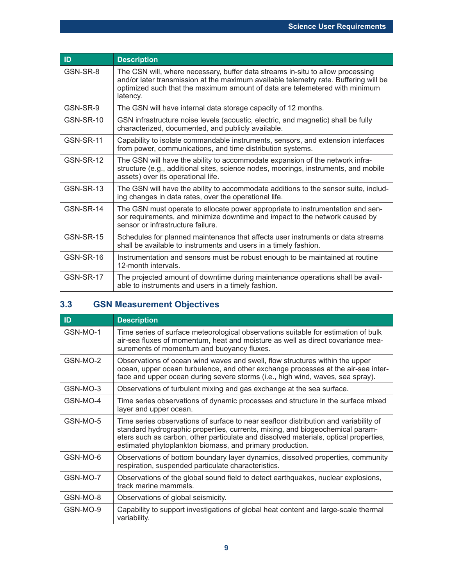| ID        | <b>Description</b>                                                                                                                                                                                                                                                |
|-----------|-------------------------------------------------------------------------------------------------------------------------------------------------------------------------------------------------------------------------------------------------------------------|
| GSN-SR-8  | The CSN will, where necessary, buffer data streams in-situ to allow processing<br>and/or later transmission at the maximum available telemetry rate. Buffering will be<br>optimized such that the maximum amount of data are telemetered with minimum<br>latency. |
| GSN-SR-9  | The GSN will have internal data storage capacity of 12 months.                                                                                                                                                                                                    |
| GSN-SR-10 | GSN infrastructure noise levels (acoustic, electric, and magnetic) shall be fully<br>characterized, documented, and publicly available.                                                                                                                           |
| GSN-SR-11 | Capability to isolate commandable instruments, sensors, and extension interfaces<br>from power, communications, and time distribution systems.                                                                                                                    |
| GSN-SR-12 | The GSN will have the ability to accommodate expansion of the network infra-<br>structure (e.g., additional sites, science nodes, moorings, instruments, and mobile<br>assets) over its operational life.                                                         |
| GSN-SR-13 | The GSN will have the ability to accommodate additions to the sensor suite, includ-<br>ing changes in data rates, over the operational life.                                                                                                                      |
| GSN-SR-14 | The GSN must operate to allocate power appropriate to instrumentation and sen-<br>sor requirements, and minimize downtime and impact to the network caused by<br>sensor or infrastructure failure.                                                                |
| GSN-SR-15 | Schedules for planned maintenance that affects user instruments or data streams<br>shall be available to instruments and users in a timely fashion.                                                                                                               |
| GSN-SR-16 | Instrumentation and sensors must be robust enough to be maintained at routine<br>12-month intervals.                                                                                                                                                              |
| GSN-SR-17 | The projected amount of downtime during maintenance operations shall be avail-<br>able to instruments and users in a timely fashion.                                                                                                                              |

### **3.3 GSN Measurement Objectives**

| ID       | <b>Description</b>                                                                                                                                                                                                                                                                                                        |
|----------|---------------------------------------------------------------------------------------------------------------------------------------------------------------------------------------------------------------------------------------------------------------------------------------------------------------------------|
| GSN-MO-1 | Time series of surface meteorological observations suitable for estimation of bulk<br>air-sea fluxes of momentum, heat and moisture as well as direct covariance mea-<br>surements of momentum and buoyancy fluxes.                                                                                                       |
| GSN-MO-2 | Observations of ocean wind waves and swell, flow structures within the upper<br>ocean, upper ocean turbulence, and other exchange processes at the air-sea inter-<br>face and upper ocean during severe storms (i.e., high wind, waves, sea spray).                                                                       |
| GSN-MO-3 | Observations of turbulent mixing and gas exchange at the sea surface.                                                                                                                                                                                                                                                     |
| GSN-MO-4 | Time series observations of dynamic processes and structure in the surface mixed<br>layer and upper ocean.                                                                                                                                                                                                                |
| GSN-MO-5 | Time series observations of surface to near seafloor distribution and variability of<br>standard hydrographic properties, currents, mixing, and biogeochemical param-<br>eters such as carbon, other particulate and dissolved materials, optical properties,<br>estimated phytoplankton biomass, and primary production. |
| GSN-MO-6 | Observations of bottom boundary layer dynamics, dissolved properties, community<br>respiration, suspended particulate characteristics.                                                                                                                                                                                    |
| GSN-MO-7 | Observations of the global sound field to detect earthquakes, nuclear explosions,<br>track marine mammals.                                                                                                                                                                                                                |
| GSN-MO-8 | Observations of global seismicity.                                                                                                                                                                                                                                                                                        |
| GSN-MO-9 | Capability to support investigations of global heat content and large-scale thermal<br>variability.                                                                                                                                                                                                                       |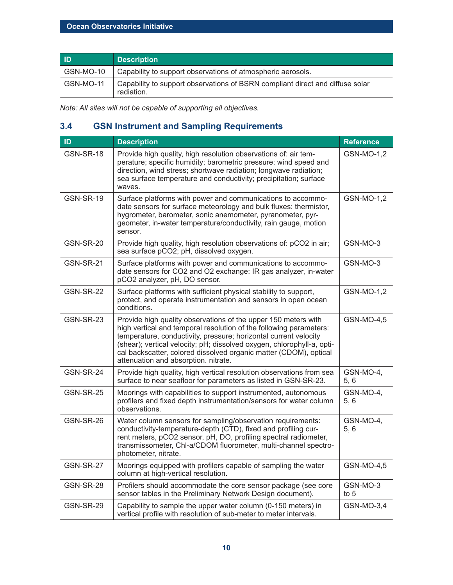| ID        | <b>Description</b>                                                                          |
|-----------|---------------------------------------------------------------------------------------------|
| GSN-MO-10 | Capability to support observations of atmospheric aerosols.                                 |
| GSN-MO-11 | Capability to support observations of BSRN compliant direct and diffuse solar<br>radiation. |

*Note: All sites will not be capable of supporting all objectives.*

### **3.4 GSN Instrument and Sampling Requirements**

| ID               | <b>Description</b>                                                                                                                                                                                                                                                                                                                                                                              | <b>Reference</b>   |
|------------------|-------------------------------------------------------------------------------------------------------------------------------------------------------------------------------------------------------------------------------------------------------------------------------------------------------------------------------------------------------------------------------------------------|--------------------|
| GSN-SR-18        | Provide high quality, high resolution observations of: air tem-<br>perature; specific humidity; barometric pressure; wind speed and<br>direction, wind stress; shortwave radiation; longwave radiation;<br>sea surface temperature and conductivity; precipitation; surface<br>waves.                                                                                                           | GSN-MO-1,2         |
| GSN-SR-19        | Surface platforms with power and communications to accommo-<br>date sensors for surface meteorology and bulk fluxes: thermistor,<br>hygrometer, barometer, sonic anemometer, pyranometer, pyr-<br>geometer, in-water temperature/conductivity, rain gauge, motion<br>sensor.                                                                                                                    | GSN-MO-1,2         |
| GSN-SR-20        | Provide high quality, high resolution observations of: pCO2 in air;<br>sea surface pCO2; pH, dissolved oxygen.                                                                                                                                                                                                                                                                                  | GSN-MO-3           |
| GSN-SR-21        | Surface platforms with power and communications to accommo-<br>date sensors for CO2 and O2 exchange: IR gas analyzer, in-water<br>pCO2 analyzer, pH, DO sensor.                                                                                                                                                                                                                                 | GSN-MO-3           |
| <b>GSN-SR-22</b> | Surface platforms with sufficient physical stability to support,<br>protect, and operate instrumentation and sensors in open ocean<br>conditions.                                                                                                                                                                                                                                               | GSN-MO-1,2         |
| GSN-SR-23        | Provide high quality observations of the upper 150 meters with<br>high vertical and temporal resolution of the following parameters:<br>temperature, conductivity, pressure; horizontal current velocity<br>(shear); vertical velocity; pH; dissolved oxygen, chlorophyll-a, opti-<br>cal backscatter, colored dissolved organic matter (CDOM), optical<br>attenuation and absorption. nitrate. | GSN-MO-4,5         |
| GSN-SR-24        | Provide high quality, high vertical resolution observations from sea<br>surface to near seafloor for parameters as listed in GSN-SR-23.                                                                                                                                                                                                                                                         | GSN-MO-4,<br>5, 6  |
| GSN-SR-25        | Moorings with capabilities to support instrumented, autonomous<br>profilers and fixed depth instrumentation/sensors for water column<br>observations.                                                                                                                                                                                                                                           | GSN-MO-4,<br>5.6   |
| GSN-SR-26        | Water column sensors for sampling/observation requirements:<br>conductivity-temperature-depth (CTD), fixed and profiling cur-<br>rent meters, pCO2 sensor, pH, DO, profiling spectral radiometer,<br>transmissometer, Chl-a/CDOM fluorometer, multi-channel spectro-<br>photometer, nitrate.                                                                                                    | GSN-MO-4,<br>5.6   |
| GSN-SR-27        | Moorings equipped with profilers capable of sampling the water<br>column at high-vertical resolution.                                                                                                                                                                                                                                                                                           | GSN-MO-4,5         |
| GSN-SR-28        | Profilers should accommodate the core sensor package (see core<br>sensor tables in the Preliminary Network Design document).                                                                                                                                                                                                                                                                    | GSN-MO-3<br>to $5$ |
| GSN-SR-29        | Capability to sample the upper water column (0-150 meters) in<br>vertical profile with resolution of sub-meter to meter intervals.                                                                                                                                                                                                                                                              | GSN-MO-3,4         |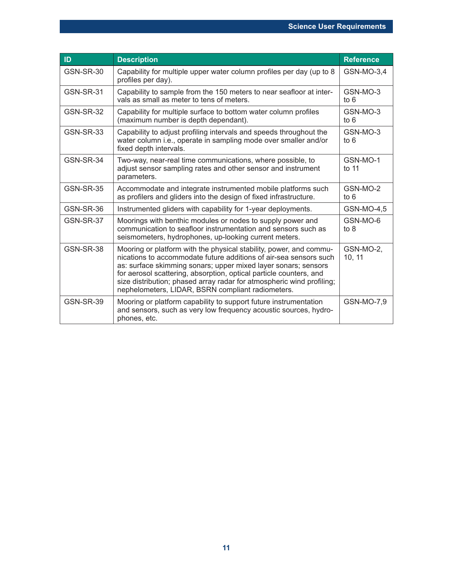| ID               | <b>Description</b>                                                                                                                                                                                                                                                                                                                                                                                            | <b>Reference</b>    |
|------------------|---------------------------------------------------------------------------------------------------------------------------------------------------------------------------------------------------------------------------------------------------------------------------------------------------------------------------------------------------------------------------------------------------------------|---------------------|
| GSN-SR-30        | Capability for multiple upper water column profiles per day (up to 8<br>profiles per day).                                                                                                                                                                                                                                                                                                                    | GSN-MO-3,4          |
| GSN-SR-31        | Capability to sample from the 150 meters to near seafloor at inter-<br>vals as small as meter to tens of meters.                                                                                                                                                                                                                                                                                              | GSN-MO-3<br>to $6$  |
| <b>GSN-SR-32</b> | Capability for multiple surface to bottom water column profiles<br>(maximum number is depth dependant).                                                                                                                                                                                                                                                                                                       | GSN-MO-3<br>to $6$  |
| <b>GSN-SR-33</b> | Capability to adjust profiling intervals and speeds throughout the<br>water column i.e., operate in sampling mode over smaller and/or<br>fixed depth intervals.                                                                                                                                                                                                                                               | GSN-MO-3<br>to $6$  |
| GSN-SR-34        | Two-way, near-real time communications, where possible, to<br>adjust sensor sampling rates and other sensor and instrument<br>parameters.                                                                                                                                                                                                                                                                     | GSN-MO-1<br>to 11   |
| <b>GSN-SR-35</b> | Accommodate and integrate instrumented mobile platforms such<br>as profilers and gliders into the design of fixed infrastructure.                                                                                                                                                                                                                                                                             | GSN-MO-2<br>to $6$  |
| GSN-SR-36        | Instrumented gliders with capability for 1-year deployments.                                                                                                                                                                                                                                                                                                                                                  | GSN-MO-4,5          |
| GSN-SR-37        | Moorings with benthic modules or nodes to supply power and<br>communication to seafloor instrumentation and sensors such as<br>seismometers, hydrophones, up-looking current meters.                                                                                                                                                                                                                          | GSN-MO-6<br>to $8$  |
| <b>GSN-SR-38</b> | Mooring or platform with the physical stability, power, and commu-<br>nications to accommodate future additions of air-sea sensors such<br>as: surface skimming sonars; upper mixed layer sonars; sensors<br>for aerosol scattering, absorption, optical particle counters, and<br>size distribution; phased array radar for atmospheric wind profiling;<br>nephelometers, LIDAR, BSRN compliant radiometers. | GSN-MO-2,<br>10, 11 |
| <b>GSN-SR-39</b> | Mooring or platform capability to support future instrumentation<br>and sensors, such as very low frequency acoustic sources, hydro-<br>phones, etc.                                                                                                                                                                                                                                                          | GSN-MO-7,9          |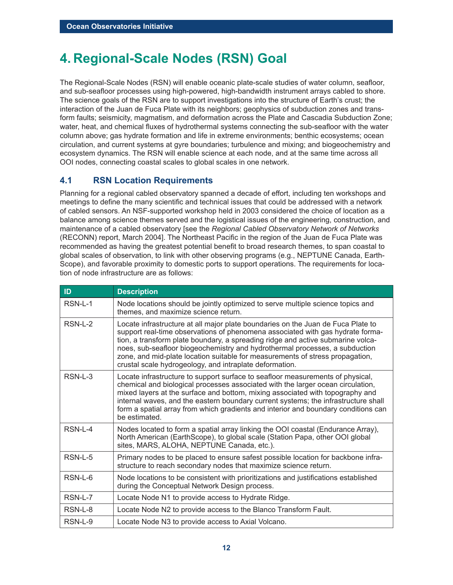## **4. Regional-Scale Nodes (RSN) Goal**

The Regional-Scale Nodes (RSN) will enable oceanic plate-scale studies of water column, seafloor, and sub-seafloor processes using high-powered, high-bandwidth instrument arrays cabled to shore. The science goals of the RSN are to support investigations into the structure of Earth's crust; the interaction of the Juan de Fuca Plate with its neighbors; geophysics of subduction zones and transform faults; seismicity, magmatism, and deformation across the Plate and Cascadia Subduction Zone; water, heat, and chemical fluxes of hydrothermal systems connecting the sub-seafloor with the water column above; gas hydrate formation and life in extreme environments; benthic ecosystems; ocean circulation, and current systems at gyre boundaries; turbulence and mixing; and biogeochemistry and ecosystem dynamics. The RSN will enable science at each node, and at the same time across all OOI nodes, connecting coastal scales to global scales in one network.

### **4.1 RSN Location Requirements**

Planning for a regional cabled observatory spanned a decade of effort, including ten workshops and meetings to define the many scientific and technical issues that could be addressed with a network of cabled sensors. An NSF-supported workshop held in 2003 considered the choice of location as a balance among science themes served and the logistical issues of the engineering, construction, and maintenance of a cabled observatory [see the *Regional Cabled Observatory Network of Networks* (RECONN) report, March 2004]. The Northeast Pacific in the region of the Juan de Fuca Plate was recommended as having the greatest potential benefit to broad research themes, to span coastal to global scales of observation, to link with other observing programs (e.g., NEPTUNE Canada, Earth-Scope), and favorable proximity to domestic ports to support operations. The requirements for location of node infrastructure are as follows:

| ID         | <b>Description</b>                                                                                                                                                                                                                                                                                                                                                                                                                                                               |
|------------|----------------------------------------------------------------------------------------------------------------------------------------------------------------------------------------------------------------------------------------------------------------------------------------------------------------------------------------------------------------------------------------------------------------------------------------------------------------------------------|
| RSN-L-1    | Node locations should be jointly optimized to serve multiple science topics and<br>themes, and maximize science return.                                                                                                                                                                                                                                                                                                                                                          |
| $RSM-L-2$  | Locate infrastructure at all major plate boundaries on the Juan de Fuca Plate to<br>support real-time observations of phenomena associated with gas hydrate forma-<br>tion, a transform plate boundary, a spreading ridge and active submarine volca-<br>noes, sub-seafloor biogeochemistry and hydrothermal processes, a subduction<br>zone, and mid-plate location suitable for measurements of stress propagation,<br>crustal scale hydrogeology, and intraplate deformation. |
| $RSN-L-3$  | Locate infrastructure to support surface to seafloor measurements of physical,<br>chemical and biological processes associated with the larger ocean circulation,<br>mixed layers at the surface and bottom, mixing associated with topography and<br>internal waves, and the eastern boundary current systems; the infrastructure shall<br>form a spatial array from which gradients and interior and boundary conditions can<br>be estimated.                                  |
| $RSM-I -4$ | Nodes located to form a spatial array linking the OOI coastal (Endurance Array),<br>North American (EarthScope), to global scale (Station Papa, other OOI global<br>sites, MARS, ALOHA, NEPTUNE Canada, etc.).                                                                                                                                                                                                                                                                   |
| RSN-L-5    | Primary nodes to be placed to ensure safest possible location for backbone infra-<br>structure to reach secondary nodes that maximize science return.                                                                                                                                                                                                                                                                                                                            |
| RSN-L-6    | Node locations to be consistent with prioritizations and justifications established<br>during the Conceptual Network Design process.                                                                                                                                                                                                                                                                                                                                             |
| $RSM-L-7$  | Locate Node N1 to provide access to Hydrate Ridge.                                                                                                                                                                                                                                                                                                                                                                                                                               |
| RSN-L-8    | Locate Node N2 to provide access to the Blanco Transform Fault.                                                                                                                                                                                                                                                                                                                                                                                                                  |
| RSN-L-9    | Locate Node N3 to provide access to Axial Volcano.                                                                                                                                                                                                                                                                                                                                                                                                                               |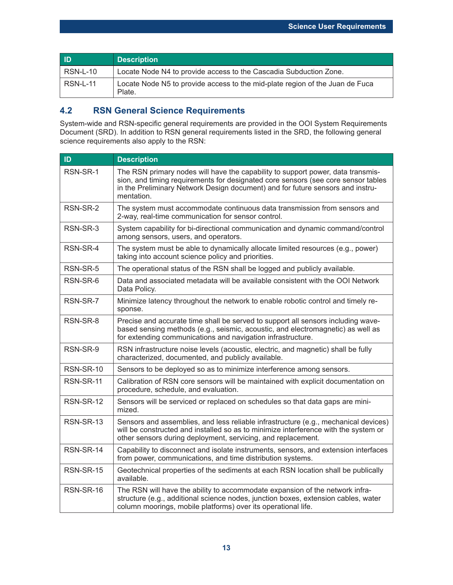| ID              | <b>Description</b>                                                                     |
|-----------------|----------------------------------------------------------------------------------------|
| <b>RSN-L-10</b> | Locate Node N4 to provide access to the Cascadia Subduction Zone.                      |
| <b>RSN-L-11</b> | Locate Node N5 to provide access to the mid-plate region of the Juan de Fuca<br>Plate. |

### **4.2 RSN General Science Requirements**

System-wide and RSN-specific general requirements are provided in the OOI System Requirements Document (SRD). In addition to RSN general requirements listed in the SRD, the following general science requirements also apply to the RSN:

| ID        | <b>Description</b>                                                                                                                                                                                                                                                   |
|-----------|----------------------------------------------------------------------------------------------------------------------------------------------------------------------------------------------------------------------------------------------------------------------|
| RSN-SR-1  | The RSN primary nodes will have the capability to support power, data transmis-<br>sion, and timing requirements for designated core sensors (see core sensor tables<br>in the Preliminary Network Design document) and for future sensors and instru-<br>mentation. |
| RSN-SR-2  | The system must accommodate continuous data transmission from sensors and<br>2-way, real-time communication for sensor control.                                                                                                                                      |
| RSN-SR-3  | System capability for bi-directional communication and dynamic command/control<br>among sensors, users, and operators.                                                                                                                                               |
| RSN-SR-4  | The system must be able to dynamically allocate limited resources (e.g., power)<br>taking into account science policy and priorities.                                                                                                                                |
| RSN-SR-5  | The operational status of the RSN shall be logged and publicly available.                                                                                                                                                                                            |
| RSN-SR-6  | Data and associated metadata will be available consistent with the OOI Network<br>Data Policy.                                                                                                                                                                       |
| RSN-SR-7  | Minimize latency throughout the network to enable robotic control and timely re-<br>sponse.                                                                                                                                                                          |
| RSN-SR-8  | Precise and accurate time shall be served to support all sensors including wave-<br>based sensing methods (e.g., seismic, acoustic, and electromagnetic) as well as<br>for extending communications and navigation infrastructure.                                   |
| RSN-SR-9  | RSN infrastructure noise levels (acoustic, electric, and magnetic) shall be fully<br>characterized, documented, and publicly available.                                                                                                                              |
| RSN-SR-10 | Sensors to be deployed so as to minimize interference among sensors.                                                                                                                                                                                                 |
| RSN-SR-11 | Calibration of RSN core sensors will be maintained with explicit documentation on<br>procedure, schedule, and evaluation.                                                                                                                                            |
| RSN-SR-12 | Sensors will be serviced or replaced on schedules so that data gaps are mini-<br>mized.                                                                                                                                                                              |
| RSN-SR-13 | Sensors and assemblies, and less reliable infrastructure (e.g., mechanical devices)<br>will be constructed and installed so as to minimize interference with the system or<br>other sensors during deployment, servicing, and replacement.                           |
| RSN-SR-14 | Capability to disconnect and isolate instruments, sensors, and extension interfaces<br>from power, communications, and time distribution systems.                                                                                                                    |
| RSN-SR-15 | Geotechnical properties of the sediments at each RSN location shall be publically<br>available.                                                                                                                                                                      |
| RSN-SR-16 | The RSN will have the ability to accommodate expansion of the network infra-<br>structure (e.g., additional science nodes, junction boxes, extension cables, water<br>column moorings, mobile platforms) over its operational life.                                  |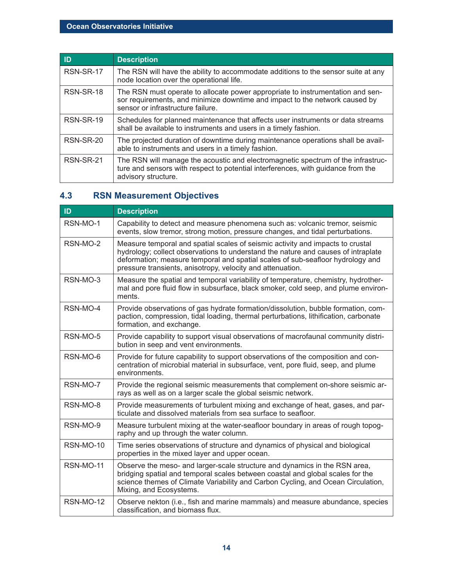| <b>ID</b> | <b>Description</b>                                                                                                                                                                                 |
|-----------|----------------------------------------------------------------------------------------------------------------------------------------------------------------------------------------------------|
| RSN-SR-17 | The RSN will have the ability to accommodate additions to the sensor suite at any<br>node location over the operational life.                                                                      |
| RSN-SR-18 | The RSN must operate to allocate power appropriate to instrumentation and sen-<br>sor requirements, and minimize downtime and impact to the network caused by<br>sensor or infrastructure failure. |
| RSN-SR-19 | Schedules for planned maintenance that affects user instruments or data streams<br>shall be available to instruments and users in a timely fashion.                                                |
| RSN-SR-20 | The projected duration of downtime during maintenance operations shall be avail-<br>able to instruments and users in a timely fashion.                                                             |
| RSN-SR-21 | The RSN will manage the acoustic and electromagnetic spectrum of the infrastruc-<br>ture and sensors with respect to potential interferences, with guidance from the<br>advisory structure.        |

## **4.3 RSN Measurement Objectives**

| ID.       | <b>Description</b>                                                                                                                                                                                                                                                                                                  |
|-----------|---------------------------------------------------------------------------------------------------------------------------------------------------------------------------------------------------------------------------------------------------------------------------------------------------------------------|
|           |                                                                                                                                                                                                                                                                                                                     |
| RSN-MO-1  | Capability to detect and measure phenomena such as: volcanic tremor, seismic<br>events, slow tremor, strong motion, pressure changes, and tidal perturbations.                                                                                                                                                      |
| RSN-MO-2  | Measure temporal and spatial scales of seismic activity and impacts to crustal<br>hydrology; collect observations to understand the nature and causes of intraplate<br>deformation; measure temporal and spatial scales of sub-seafloor hydrology and<br>pressure transients, anisotropy, velocity and attenuation. |
| RSN-MO-3  | Measure the spatial and temporal variability of temperature, chemistry, hydrother-<br>mal and pore fluid flow in subsurface, black smoker, cold seep, and plume environ-<br>ments.                                                                                                                                  |
| RSN-MO-4  | Provide observations of gas hydrate formation/dissolution, bubble formation, com-<br>paction, compression, tidal loading, thermal perturbations, lithification, carbonate<br>formation, and exchange.                                                                                                               |
| RSN-MO-5  | Provide capability to support visual observations of macrofaunal community distri-<br>bution in seep and vent environments.                                                                                                                                                                                         |
| RSN-MO-6  | Provide for future capability to support observations of the composition and con-<br>centration of microbial material in subsurface, vent, pore fluid, seep, and plume<br>environments.                                                                                                                             |
| RSN-MO-7  | Provide the regional seismic measurements that complement on-shore seismic ar-<br>rays as well as on a larger scale the global seismic network.                                                                                                                                                                     |
| RSN-MO-8  | Provide measurements of turbulent mixing and exchange of heat, gases, and par-<br>ticulate and dissolved materials from sea surface to seafloor.                                                                                                                                                                    |
| RSN-MO-9  | Measure turbulent mixing at the water-seafloor boundary in areas of rough topog-<br>raphy and up through the water column.                                                                                                                                                                                          |
| RSN-MO-10 | Time series observations of structure and dynamics of physical and biological<br>properties in the mixed layer and upper ocean.                                                                                                                                                                                     |
| RSN-MO-11 | Observe the meso- and larger-scale structure and dynamics in the RSN area,<br>bridging spatial and temporal scales between coastal and global scales for the<br>science themes of Climate Variability and Carbon Cycling, and Ocean Circulation,<br>Mixing, and Ecosystems.                                         |
| RSN-MO-12 | Observe nekton (i.e., fish and marine mammals) and measure abundance, species<br>classification, and biomass flux.                                                                                                                                                                                                  |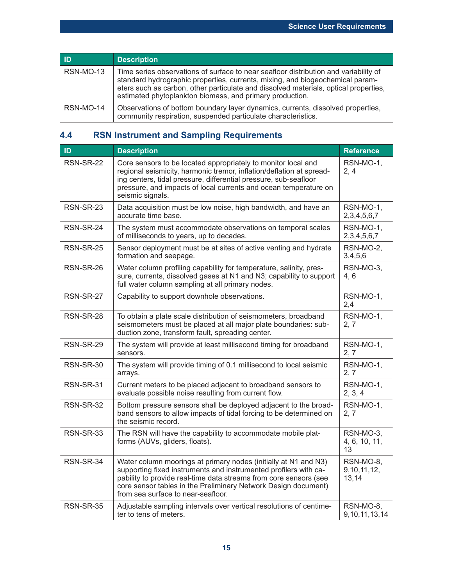| ID        | <b>Description</b>                                                                                                                                                                                                                                                                                                        |
|-----------|---------------------------------------------------------------------------------------------------------------------------------------------------------------------------------------------------------------------------------------------------------------------------------------------------------------------------|
| RSN-MO-13 | Time series observations of surface to near seafloor distribution and variability of<br>standard hydrographic properties, currents, mixing, and biogeochemical param-<br>eters such as carbon, other particulate and dissolved materials, optical properties,<br>estimated phytoplankton biomass, and primary production. |
| RSN-MO-14 | Observations of bottom boundary layer dynamics, currents, dissolved properties,<br>community respiration, suspended particulate characteristics.                                                                                                                                                                          |

## **4.4 RSN Instrument and Sampling Requirements**

| ID               | <b>Description</b>                                                                                                                                                                                                                                                                                               | <b>Reference</b>                     |
|------------------|------------------------------------------------------------------------------------------------------------------------------------------------------------------------------------------------------------------------------------------------------------------------------------------------------------------|--------------------------------------|
| <b>RSN-SR-22</b> | Core sensors to be located appropriately to monitor local and<br>regional seismicity, harmonic tremor, inflation/deflation at spread-<br>ing centers, tidal pressure, differential pressure, sub-seafloor<br>pressure, and impacts of local currents and ocean temperature on<br>seismic signals.                | RSN-MO-1,<br>2, 4                    |
| <b>RSN-SR-23</b> | Data acquisition must be low noise, high bandwidth, and have an<br>accurate time base.                                                                                                                                                                                                                           | RSN-MO-1,<br>2,3,4,5,6,7             |
| RSN-SR-24        | The system must accommodate observations on temporal scales<br>of milliseconds to years, up to decades.                                                                                                                                                                                                          | RSN-MO-1,<br>2, 3, 4, 5, 6, 7        |
| RSN-SR-25        | Sensor deployment must be at sites of active venting and hydrate<br>formation and seepage.                                                                                                                                                                                                                       | RSN-MO-2,<br>3,4,5,6                 |
| RSN-SR-26        | Water column profiling capability for temperature, salinity, pres-<br>sure, currents, dissolved gases at N1 and N3; capability to support<br>full water column sampling at all primary nodes.                                                                                                                    | RSN-MO-3,<br>4, 6                    |
| RSN-SR-27        | Capability to support downhole observations.                                                                                                                                                                                                                                                                     | RSN-MO-1,<br>2,4                     |
| RSN-SR-28        | To obtain a plate scale distribution of seismometers, broadband<br>seismometers must be placed at all major plate boundaries: sub-<br>duction zone, transform fault, spreading center.                                                                                                                           | RSN-MO-1,<br>2, 7                    |
| RSN-SR-29        | The system will provide at least millisecond timing for broadband<br>sensors.                                                                                                                                                                                                                                    | RSN-MO-1,<br>2, 7                    |
| RSN-SR-30        | The system will provide timing of 0.1 millisecond to local seismic<br>arrays.                                                                                                                                                                                                                                    | RSN-MO-1,<br>2, 7                    |
| RSN-SR-31        | Current meters to be placed adjacent to broadband sensors to<br>evaluate possible noise resulting from current flow.                                                                                                                                                                                             | RSN-MO-1,<br>2, 3, 4                 |
| RSN-SR-32        | Bottom pressure sensors shall be deployed adjacent to the broad-<br>band sensors to allow impacts of tidal forcing to be determined on<br>the seismic record.                                                                                                                                                    | RSN-MO-1,<br>2, 7                    |
| RSN-SR-33        | The RSN will have the capability to accommodate mobile plat-<br>forms (AUVs, gliders, floats).                                                                                                                                                                                                                   | RSN-MO-3,<br>4, 6, 10, 11,<br>13     |
| RSN-SR-34        | Water column moorings at primary nodes (initially at N1 and N3)<br>supporting fixed instruments and instrumented profilers with ca-<br>pability to provide real-time data streams from core sensors (see<br>core sensor tables in the Preliminary Network Design document)<br>from sea surface to near-seafloor. | RSN-MO-8,<br>9, 10, 11, 12,<br>13,14 |
| <b>RSN-SR-35</b> | Adjustable sampling intervals over vertical resolutions of centime-<br>ter to tens of meters.                                                                                                                                                                                                                    | RSN-MO-8,<br>9, 10, 11, 13, 14       |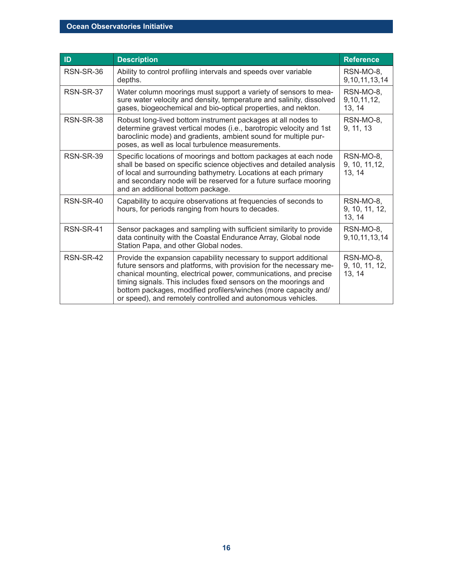| ID        | <b>Description</b>                                                                                                                                                                                                                                                                                                                                                                                              | <b>Reference</b>                      |
|-----------|-----------------------------------------------------------------------------------------------------------------------------------------------------------------------------------------------------------------------------------------------------------------------------------------------------------------------------------------------------------------------------------------------------------------|---------------------------------------|
| RSN-SR-36 | Ability to control profiling intervals and speeds over variable<br>depths.                                                                                                                                                                                                                                                                                                                                      | RSN-MO-8,<br>9, 10, 11, 13, 14        |
| RSN-SR-37 | Water column moorings must support a variety of sensors to mea-<br>sure water velocity and density, temperature and salinity, dissolved<br>gases, biogeochemical and bio-optical properties, and nekton.                                                                                                                                                                                                        | RSN-MO-8,<br>9, 10, 11, 12,<br>13, 14 |
| RSN-SR-38 | Robust long-lived bottom instrument packages at all nodes to<br>determine gravest vertical modes (i.e., barotropic velocity and 1st<br>baroclinic mode) and gradients, ambient sound for multiple pur-<br>poses, as well as local turbulence measurements.                                                                                                                                                      | RSN-MO-8,<br>9, 11, 13                |
| RSN-SR-39 | Specific locations of moorings and bottom packages at each node<br>shall be based on specific science objectives and detailed analysis<br>of local and surrounding bathymetry. Locations at each primary<br>and secondary node will be reserved for a future surface mooring<br>and an additional bottom package.                                                                                               | RSN-MO-8,<br>9, 10, 11, 12,<br>13, 14 |
| RSN-SR-40 | Capability to acquire observations at frequencies of seconds to<br>hours, for periods ranging from hours to decades.                                                                                                                                                                                                                                                                                            | RSN-MO-8,<br>9, 10, 11, 12,<br>13, 14 |
| RSN-SR-41 | Sensor packages and sampling with sufficient similarity to provide<br>data continuity with the Coastal Endurance Array, Global node<br>Station Papa, and other Global nodes.                                                                                                                                                                                                                                    | RSN-MO-8,<br>9, 10, 11, 13, 14        |
| RSN-SR-42 | Provide the expansion capability necessary to support additional<br>future sensors and platforms, with provision for the necessary me-<br>chanical mounting, electrical power, communications, and precise<br>timing signals. This includes fixed sensors on the moorings and<br>bottom packages, modified profilers/winches (more capacity and/<br>or speed), and remotely controlled and autonomous vehicles. | RSN-MO-8,<br>9, 10, 11, 12,<br>13, 14 |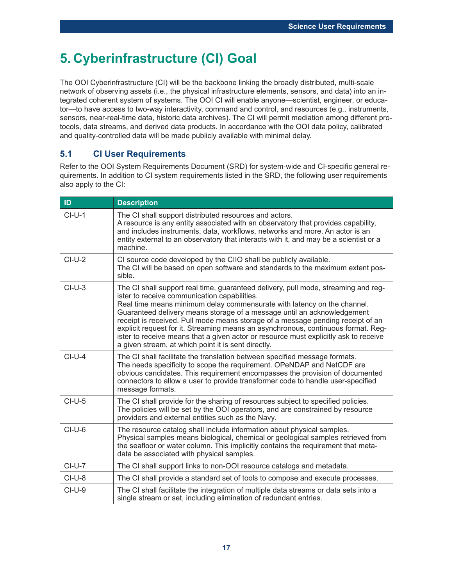## **5. Cyberinfrastructure (CI) Goal**

The OOI Cyberinfrastructure (CI) will be the backbone linking the broadly distributed, multi-scale network of observing assets (i.e., the physical infrastructure elements, sensors, and data) into an integrated coherent system of systems. The OOI CI will enable anyone—scientist, engineer, or educator—to have access to two-way interactivity, command and control, and resources (e.g., instruments, sensors, near-real-time data, historic data archives). The CI will permit mediation among different protocols, data streams, and derived data products. In accordance with the OOI data policy, calibrated and quality-controlled data will be made publicly available with minimal delay.

### **5.1 CI User Requirements**

Refer to the OOI System Requirements Document (SRD) for system-wide and CI-specific general requirements. In addition to CI system requirements listed in the SRD, the following user requirements also apply to the CI:

| ID       | <b>Description</b>                                                                                                                                                                                                                                                                                                                                                                                                                                                                                                                                                                                              |
|----------|-----------------------------------------------------------------------------------------------------------------------------------------------------------------------------------------------------------------------------------------------------------------------------------------------------------------------------------------------------------------------------------------------------------------------------------------------------------------------------------------------------------------------------------------------------------------------------------------------------------------|
| $CI-U-1$ | The CI shall support distributed resources and actors.<br>A resource is any entity associated with an observatory that provides capability,<br>and includes instruments, data, workflows, networks and more. An actor is an<br>entity external to an observatory that interacts with it, and may be a scientist or a<br>machine.                                                                                                                                                                                                                                                                                |
| $Cl-U-2$ | CI source code developed by the CIIO shall be publicly available.<br>The CI will be based on open software and standards to the maximum extent pos-<br>sible.                                                                                                                                                                                                                                                                                                                                                                                                                                                   |
| $CI-U-3$ | The CI shall support real time, guaranteed delivery, pull mode, streaming and reg-<br>ister to receive communication capabilities.<br>Real time means minimum delay commensurate with latency on the channel.<br>Guaranteed delivery means storage of a message until an acknowledgement<br>receipt is received. Pull mode means storage of a message pending receipt of an<br>explicit request for it. Streaming means an asynchronous, continuous format. Reg-<br>ister to receive means that a given actor or resource must explicitly ask to receive<br>a given stream, at which point it is sent directly. |
| $Cl-U-4$ | The CI shall facilitate the translation between specified message formats.<br>The needs specificity to scope the requirement. OPeNDAP and NetCDF are<br>obvious candidates. This requirement encompasses the provision of documented<br>connectors to allow a user to provide transformer code to handle user-specified<br>message formats.                                                                                                                                                                                                                                                                     |
| $CI-U-5$ | The CI shall provide for the sharing of resources subject to specified policies.<br>The policies will be set by the OOI operators, and are constrained by resource<br>providers and external entities such as the Navy.                                                                                                                                                                                                                                                                                                                                                                                         |
| $CI-U-6$ | The resource catalog shall include information about physical samples.<br>Physical samples means biological, chemical or geological samples retrieved from<br>the seafloor or water column. This implicitly contains the requirement that meta-<br>data be associated with physical samples.                                                                                                                                                                                                                                                                                                                    |
| $CI-U-7$ | The CI shall support links to non-OOI resource catalogs and metadata.                                                                                                                                                                                                                                                                                                                                                                                                                                                                                                                                           |
| $CI-U-8$ | The CI shall provide a standard set of tools to compose and execute processes.                                                                                                                                                                                                                                                                                                                                                                                                                                                                                                                                  |
| $CI-U-9$ | The CI shall facilitate the integration of multiple data streams or data sets into a<br>single stream or set, including elimination of redundant entries.                                                                                                                                                                                                                                                                                                                                                                                                                                                       |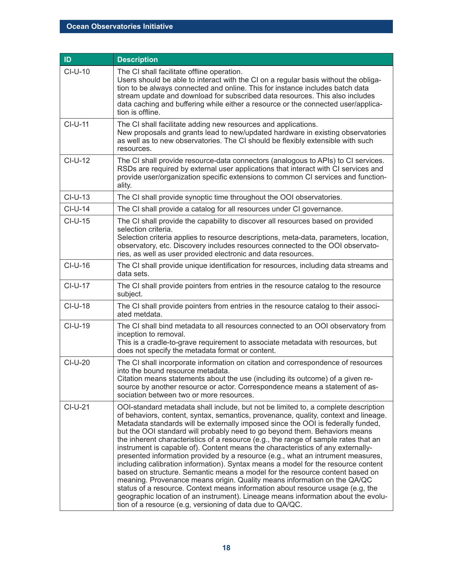| ID        | <b>Description</b>                                                                                                                                                                                                                                                                                                                                                                                                                                                                                                                                                                                                                                                                                                                                                                                                                                                                                                                                                                                                                                                                            |
|-----------|-----------------------------------------------------------------------------------------------------------------------------------------------------------------------------------------------------------------------------------------------------------------------------------------------------------------------------------------------------------------------------------------------------------------------------------------------------------------------------------------------------------------------------------------------------------------------------------------------------------------------------------------------------------------------------------------------------------------------------------------------------------------------------------------------------------------------------------------------------------------------------------------------------------------------------------------------------------------------------------------------------------------------------------------------------------------------------------------------|
| $CI-U-10$ | The CI shall facilitate offline operation.<br>Users should be able to interact with the CI on a regular basis without the obliga-<br>tion to be always connected and online. This for instance includes batch data<br>stream update and download for subscribed data resources. This also includes<br>data caching and buffering while either a resource or the connected user/applica-<br>tion is offline.                                                                                                                                                                                                                                                                                                                                                                                                                                                                                                                                                                                                                                                                                   |
| CI-U-11   | The CI shall facilitate adding new resources and applications.<br>New proposals and grants lead to new/updated hardware in existing observatories<br>as well as to new observatories. The CI should be flexibly extensible with such<br>resources.                                                                                                                                                                                                                                                                                                                                                                                                                                                                                                                                                                                                                                                                                                                                                                                                                                            |
| $CI-U-12$ | The CI shall provide resource-data connectors (analogous to APIs) to CI services.<br>RSDs are required by external user applications that interact with CI services and<br>provide user/organization specific extensions to common CI services and function-<br>ality.                                                                                                                                                                                                                                                                                                                                                                                                                                                                                                                                                                                                                                                                                                                                                                                                                        |
| $CI-U-13$ | The CI shall provide synoptic time throughout the OOI observatories.                                                                                                                                                                                                                                                                                                                                                                                                                                                                                                                                                                                                                                                                                                                                                                                                                                                                                                                                                                                                                          |
| $CI-U-14$ | The CI shall provide a catalog for all resources under CI governance.                                                                                                                                                                                                                                                                                                                                                                                                                                                                                                                                                                                                                                                                                                                                                                                                                                                                                                                                                                                                                         |
| $CI-U-15$ | The CI shall provide the capability to discover all resources based on provided<br>selection criteria.<br>Selection criteria applies to resource descriptions, meta-data, parameters, location,<br>observatory, etc. Discovery includes resources connected to the OOI observato-<br>ries, as well as user provided electronic and data resources.                                                                                                                                                                                                                                                                                                                                                                                                                                                                                                                                                                                                                                                                                                                                            |
| $CI-U-16$ | The CI shall provide unique identification for resources, including data streams and<br>data sets.                                                                                                                                                                                                                                                                                                                                                                                                                                                                                                                                                                                                                                                                                                                                                                                                                                                                                                                                                                                            |
| CI-U-17   | The CI shall provide pointers from entries in the resource catalog to the resource<br>subject.                                                                                                                                                                                                                                                                                                                                                                                                                                                                                                                                                                                                                                                                                                                                                                                                                                                                                                                                                                                                |
| $CI-U-18$ | The CI shall provide pointers from entries in the resource catalog to their associ-<br>ated metdata.                                                                                                                                                                                                                                                                                                                                                                                                                                                                                                                                                                                                                                                                                                                                                                                                                                                                                                                                                                                          |
| CI-U-19   | The CI shall bind metadata to all resources connected to an OOI observatory from<br>inception to removal.<br>This is a cradle-to-grave requirement to associate metadata with resources, but<br>does not specify the metadata format or content.                                                                                                                                                                                                                                                                                                                                                                                                                                                                                                                                                                                                                                                                                                                                                                                                                                              |
| CI-U-20   | The CI shall incorporate information on citation and correspondence of resources<br>into the bound resource metadata.<br>Citation means statements about the use (including its outcome) of a given re-<br>source by another resource or actor. Correspondence means a statement of as-<br>sociation between two or more resources.                                                                                                                                                                                                                                                                                                                                                                                                                                                                                                                                                                                                                                                                                                                                                           |
| $CI-U-21$ | OOI-standard metadata shall include, but not be limited to, a complete description<br>of behaviors, content, syntax, semantics, provenance, quality, context and lineage.<br>Metadata standards will be externally imposed since the OOI is federally funded,<br>but the OOI standard will probably need to go beyond them. Behaviors means<br>the inherent characteristics of a resource (e.g., the range of sample rates that an<br>instrument is capable of). Content means the characteristics of any externally-<br>presented information provided by a resource (e.g., what an intrument measures,<br>including calibration information). Syntax means a model for the resource content<br>based on structure. Semantic means a model for the resource content based on<br>meaning. Provenance means origin. Quality means information on the QA/QC<br>status of a resource. Context means information about resource usage (e.g, the<br>geographic location of an instrument). Lineage means information about the evolu-<br>tion of a resource (e.g, versioning of data due to QA/QC. |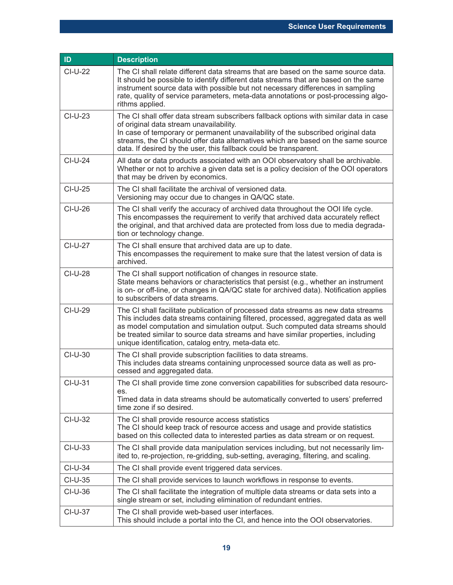| ID             | <b>Description</b>                                                                                                                                                                                                                                                                                                                                                                                   |
|----------------|------------------------------------------------------------------------------------------------------------------------------------------------------------------------------------------------------------------------------------------------------------------------------------------------------------------------------------------------------------------------------------------------------|
| CI-U-22        | The CI shall relate different data streams that are based on the same source data.<br>It should be possible to identify different data streams that are based on the same<br>instrument source data with possible but not necessary differences in sampling<br>rate, quality of service parameters, meta-data annotations or post-processing algo-<br>rithms applied.                                |
| CI-U-23        | The CI shall offer data stream subscribers fallback options with similar data in case<br>of original data stream unavailability.<br>In case of temporary or permanent unavailability of the subscribed original data<br>streams, the CI should offer data alternatives which are based on the same source<br>data. If desired by the user, this fallback could be transparent.                       |
| CI-U-24        | All data or data products associated with an OOI observatory shall be archivable.<br>Whether or not to archive a given data set is a policy decision of the OOI operators<br>that may be driven by economics.                                                                                                                                                                                        |
| CI-U-25        | The CI shall facilitate the archival of versioned data.<br>Versioning may occur due to changes in QA/QC state.                                                                                                                                                                                                                                                                                       |
| CI-U-26        | The CI shall verify the accuracy of archived data throughout the OOI life cycle.<br>This encompasses the requirement to verify that archived data accurately reflect<br>the original, and that archived data are protected from loss due to media degrada-<br>tion or technology change.                                                                                                             |
| CI-U-27        | The CI shall ensure that archived data are up to date.<br>This encompasses the requirement to make sure that the latest version of data is<br>archived.                                                                                                                                                                                                                                              |
| <b>CI-U-28</b> | The CI shall support notification of changes in resource state.<br>State means behaviors or characteristics that persist (e.g., whether an instrument<br>is on- or off-line, or changes in QA/QC state for archived data). Notification applies<br>to subscribers of data streams.                                                                                                                   |
| CI-U-29        | The CI shall facilitate publication of processed data streams as new data streams<br>This includes data streams containing filtered, processed, aggregated data as well<br>as model computation and simulation output. Such computed data streams should<br>be treated similar to source data streams and have similar properties, including<br>unique identification, catalog entry, meta-data etc. |
| CI-U-30        | The CI shall provide subscription facilities to data streams.<br>This includes data streams containing unprocessed source data as well as pro-<br>cessed and aggregated data.                                                                                                                                                                                                                        |
| CI-U-31        | The CI shall provide time zone conversion capabilities for subscribed data resourc-<br>es.<br>Timed data in data streams should be automatically converted to users' preferred<br>time zone if so desired.                                                                                                                                                                                           |
| CI-U-32        | The CI shall provide resource access statistics<br>The CI should keep track of resource access and usage and provide statistics<br>based on this collected data to interested parties as data stream or on request.                                                                                                                                                                                  |
| CI-U-33        | The CI shall provide data manipulation services including, but not necessarily lim-<br>ited to, re-projection, re-gridding, sub-setting, averaging, filtering, and scaling.                                                                                                                                                                                                                          |
| $CI-U-34$      | The CI shall provide event triggered data services.                                                                                                                                                                                                                                                                                                                                                  |
| CI-U-35        | The CI shall provide services to launch workflows in response to events.                                                                                                                                                                                                                                                                                                                             |
| $CI-U-36$      | The CI shall facilitate the integration of multiple data streams or data sets into a<br>single stream or set, including elimination of redundant entries.                                                                                                                                                                                                                                            |
| CI-U-37        | The CI shall provide web-based user interfaces.<br>This should include a portal into the CI, and hence into the OOI observatories.                                                                                                                                                                                                                                                                   |